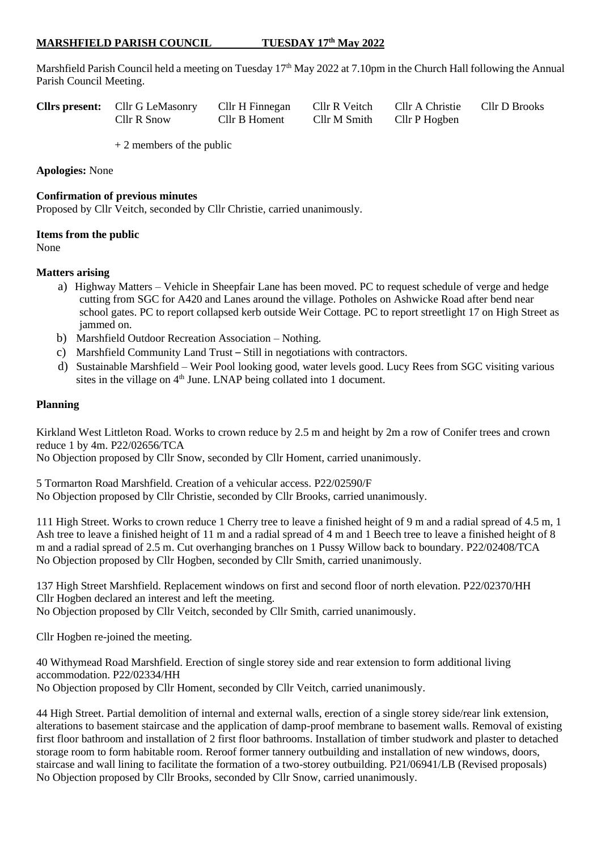# **MARSHFIELD PARISH COUNCIL TUESDAY 17th May 2022**

Marshfield Parish Council held a meeting on Tuesday 17<sup>th</sup> May 2022 at 7.10pm in the Church Hall following the Annual Parish Council Meeting.

| <b>Clirs present:</b> Clir G LeMasonry Clir H Finnegan |               | Cllr R Veitch | Cllr A Christie | Cllr D Brooks |
|--------------------------------------------------------|---------------|---------------|-----------------|---------------|
| Cllr R Snow                                            | Cllr B Homent | Cllr M Smith  | Cllr P Hogben   |               |

+ 2 members of the public

**Apologies:** None

### **Confirmation of previous minutes**

Proposed by Cllr Veitch, seconded by Cllr Christie, carried unanimously.

#### **Items from the public**

None

### **Matters arising**

- a) Highway Matters Vehicle in Sheepfair Lane has been moved. PC to request schedule of verge and hedge cutting from SGC for A420 and Lanes around the village. Potholes on Ashwicke Road after bend near school gates. PC to report collapsed kerb outside Weir Cottage. PC to report streetlight 17 on High Street as jammed on.
- b) Marshfield Outdoor Recreation Association Nothing.
- c) Marshfield Community Land Trust *–* Still in negotiations with contractors.
- d) Sustainable Marshfield *–* Weir Pool looking good, water levels good. Lucy Rees from SGC visiting various sites in the village on 4<sup>th</sup> June. LNAP being collated into 1 document.

### **Planning**

Kirkland West Littleton Road. Works to crown reduce by 2.5 m and height by 2m a row of Conifer trees and crown reduce 1 by 4m. P22/02656/TCA

No Objection proposed by Cllr Snow, seconded by Cllr Homent, carried unanimously.

5 Tormarton Road Marshfield. Creation of a vehicular access. P22/02590/F No Objection proposed by Cllr Christie, seconded by Cllr Brooks, carried unanimously.

111 High Street. Works to crown reduce 1 Cherry tree to leave a finished height of 9 m and a radial spread of 4.5 m, 1 Ash tree to leave a finished height of 11 m and a radial spread of 4 m and 1 Beech tree to leave a finished height of 8 m and a radial spread of 2.5 m. Cut overhanging branches on 1 Pussy Willow back to boundary. P22/02408/TCA No Objection proposed by Cllr Hogben, seconded by Cllr Smith, carried unanimously.

137 High Street Marshfield. Replacement windows on first and second floor of north elevation. P22/02370/HH Cllr Hogben declared an interest and left the meeting. No Objection proposed by Cllr Veitch, seconded by Cllr Smith, carried unanimously.

Cllr Hogben re-joined the meeting.

40 Withymead Road Marshfield. Erection of single storey side and rear extension to form additional living accommodation. P22/02334/HH No Objection proposed by Cllr Homent, seconded by Cllr Veitch, carried unanimously.

44 High Street. Partial demolition of internal and external walls, erection of a single storey side/rear link extension, alterations to basement staircase and the application of damp-proof membrane to basement walls. Removal of existing first floor bathroom and installation of 2 first floor bathrooms. Installation of timber studwork and plaster to detached storage room to form habitable room. Reroof former tannery outbuilding and installation of new windows, doors, staircase and wall lining to facilitate the formation of a two-storey outbuilding. P21/06941/LB (Revised proposals) No Objection proposed by Cllr Brooks, seconded by Cllr Snow, carried unanimously.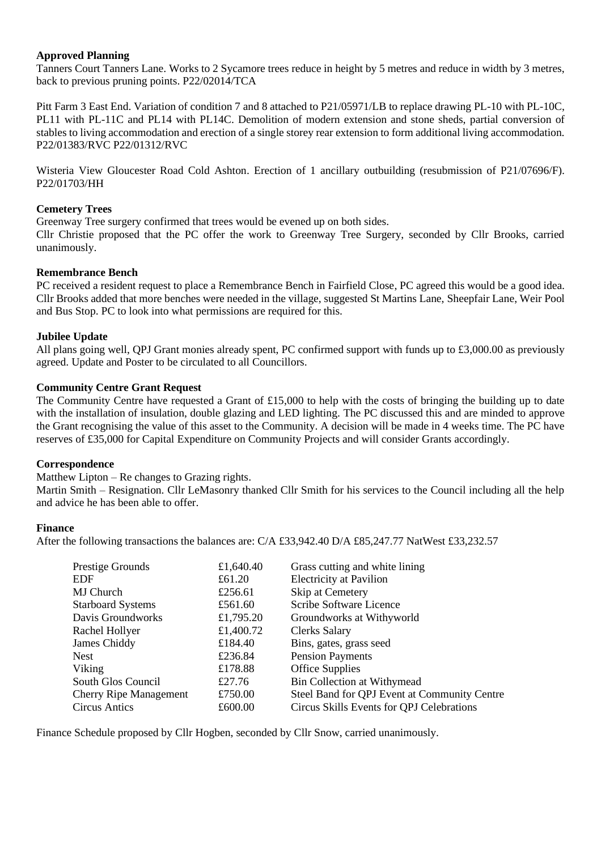# **Approved Planning**

Tanners Court Tanners Lane. Works to 2 Sycamore trees reduce in height by 5 metres and reduce in width by 3 metres, back to previous pruning points. P22/02014/TCA

Pitt Farm 3 East End. Variation of condition 7 and 8 attached to P21/05971/LB to replace drawing PL-10 with PL-10C, PL11 with PL-11C and PL14 with PL14C. Demolition of modern extension and stone sheds, partial conversion of stables to living accommodation and erection of a single storey rear extension to form additional living accommodation. P22/01383/RVC P22/01312/RVC

Wisteria View Gloucester Road Cold Ashton. Erection of 1 ancillary outbuilding (resubmission of P21/07696/F). P22/01703/HH

# **Cemetery Trees**

Greenway Tree surgery confirmed that trees would be evened up on both sides.

Cllr Christie proposed that the PC offer the work to Greenway Tree Surgery, seconded by Cllr Brooks, carried unanimously.

### **Remembrance Bench**

PC received a resident request to place a Remembrance Bench in Fairfield Close, PC agreed this would be a good idea. Cllr Brooks added that more benches were needed in the village, suggested St Martins Lane, Sheepfair Lane, Weir Pool and Bus Stop. PC to look into what permissions are required for this.

# **Jubilee Update**

All plans going well, QPJ Grant monies already spent, PC confirmed support with funds up to £3,000.00 as previously agreed. Update and Poster to be circulated to all Councillors.

### **Community Centre Grant Request**

The Community Centre have requested a Grant of £15,000 to help with the costs of bringing the building up to date with the installation of insulation, double glazing and LED lighting. The PC discussed this and are minded to approve the Grant recognising the value of this asset to the Community. A decision will be made in 4 weeks time. The PC have reserves of £35,000 for Capital Expenditure on Community Projects and will consider Grants accordingly.

### **Correspondence**

Matthew Lipton – Re changes to Grazing rights.

Martin Smith – Resignation. Cllr LeMasonry thanked Cllr Smith for his services to the Council including all the help and advice he has been able to offer.

### **Finance**

After the following transactions the balances are: C/A £33,942.40 D/A £85,247.77 NatWest £33,232.57

| Prestige Grounds              | £1,640.40 | Grass cutting and white lining               |
|-------------------------------|-----------|----------------------------------------------|
| <b>EDF</b>                    | £61.20    | <b>Electricity at Pavilion</b>               |
| MJ Church                     | £256.61   | Skip at Cemetery                             |
| <b>Starboard Systems</b>      | £561.60   | Scribe Software Licence                      |
| Davis Groundworks             | £1,795.20 | Groundworks at Withyworld                    |
| Rachel Hollyer                | £1,400.72 | <b>Clerks Salary</b>                         |
| James Chiddy                  | £184.40   | Bins, gates, grass seed                      |
| <b>Nest</b>                   | £236.84   | <b>Pension Payments</b>                      |
| Viking                        | £178.88   | <b>Office Supplies</b>                       |
| South Glos Council            | £27.76    | <b>Bin Collection at Withymead</b>           |
| <b>Cherry Ripe Management</b> | £750.00   | Steel Band for QPJ Event at Community Centre |
| Circus Antics                 | £600.00   | Circus Skills Events for QPJ Celebrations    |

Finance Schedule proposed by Cllr Hogben, seconded by Cllr Snow, carried unanimously.